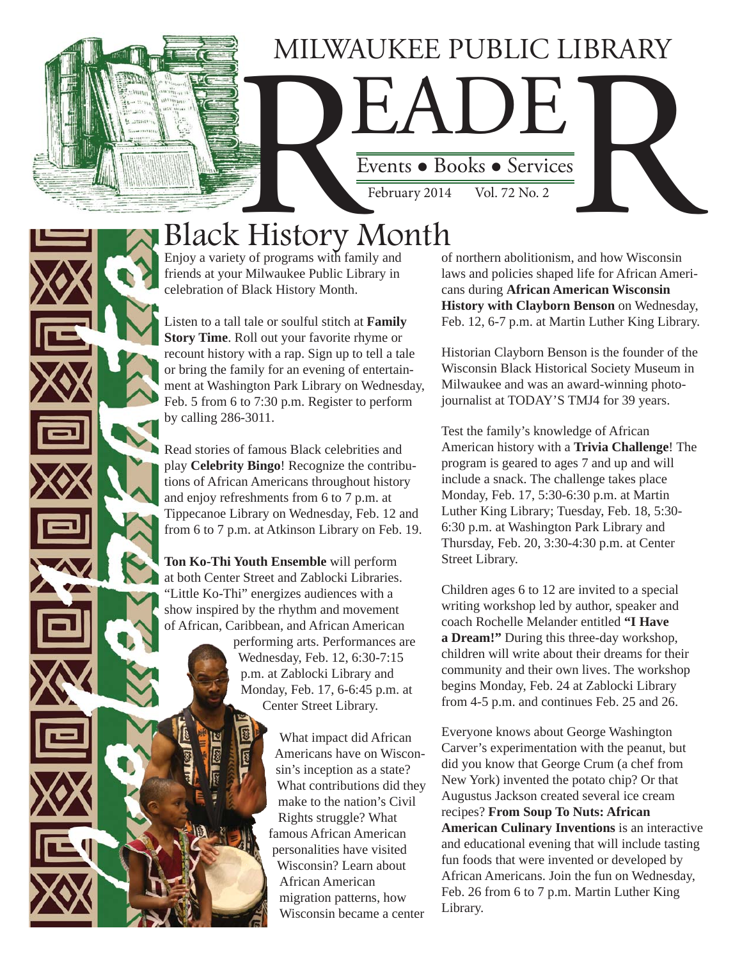## MILWAUKEE PUBLIC LIBRARY

Events • Books • Services

February 2014

Events • Books • Services

Black History Month

Enjoy a variety of programs with family and friends at your Milwaukee Public Library in celebration of Black History Month.

Listen to a tall tale or soulful stitch at **Family Story Time**. Roll out your favorite rhyme or recount history with a rap. Sign up to tell a tale or bring the family for an evening of entertainment at Washington Park Library on Wednesday, Feb. 5 from 6 to 7:30 p.m. Register to perform by calling 286-3011.

Read stories of famous Black celebrities and play **Celebrity Bingo**! Recognize the contributions of African Americans throughout history and enjoy refreshments from 6 to 7 p.m. at Tippecanoe Library on Wednesday, Feb. 12 and from 6 to 7 p.m. at Atkinson Library on Feb. 19.

**Ton Ko-Thi Youth Ensemble** will perform at both Center Street and Zablocki Libraries. "Little Ko-Thi" energizes audiences with a show inspired by the rhythm and movement of African, Caribbean, and African American

> performing arts. Performances are Wednesday, Feb. 12, 6:30-7:15 p.m. at Zablocki Library and Monday, Feb. 17, 6-6:45 p.m. at Center Street Library.

> > What impact did African Americans have on Wisconsin's inception as a state? What contributions did they make to the nation's Civil Rights struggle? What famous African American personalities have visited Wisconsin? Learn about African American migration patterns, how Wisconsin became a center

of northern abolitionism, and how Wisconsin laws and policies shaped life for African Americans during **African American Wisconsin History with Clayborn Benson** on Wednesday, Feb. 12, 6-7 p.m. at Martin Luther King Library.

Historian Clayborn Benson is the founder of the Wisconsin Black Historical Society Museum in Milwaukee and was an award-winning photojournalist at TODAY'S TMJ4 for 39 years.

Test the family's knowledge of African American history with a **Trivia Challenge**! The program is geared to ages 7 and up and will include a snack. The challenge takes place Monday, Feb. 17, 5:30-6:30 p.m. at Martin Luther King Library; Tuesday, Feb. 18, 5:30- 6:30 p.m. at Washington Park Library and Thursday, Feb. 20, 3:30-4:30 p.m. at Center Street Library.

Children ages 6 to 12 are invited to a special writing workshop led by author, speaker and coach Rochelle Melander entitled **"I Have a Dream!"** During this three-day workshop, children will write about their dreams for their community and their own lives. The workshop begins Monday, Feb. 24 at Zablocki Library from 4-5 p.m. and continues Feb. 25 and 26.

Everyone knows about George Washington Carver's experimentation with the peanut, but did you know that George Crum (a chef from New York) invented the potato chip? Or that Augustus Jackson created several ice cream recipes? **From Soup To Nuts: African American Culinary Inventions** is an interactive and educational evening that will include tasting fun foods that were invented or developed by African Americans. Join the fun on Wednesday, Feb. 26 from 6 to 7 p.m. Martin Luther King Library.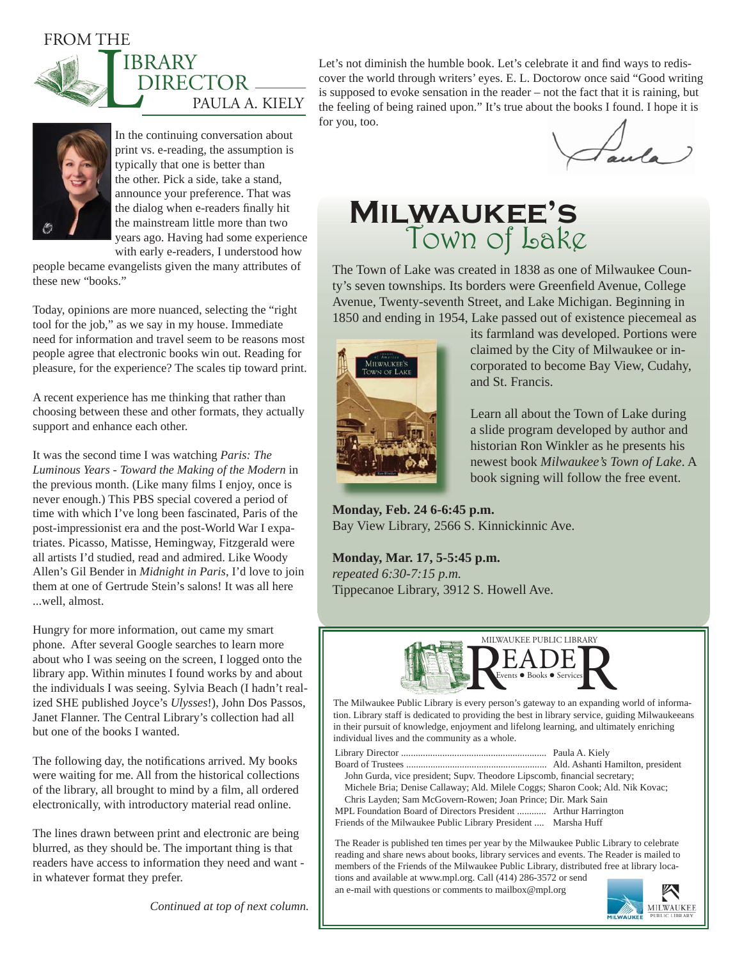FROM THE



In the continuing conversation about print vs. e-reading, the assumption is typically that one is better than the other. Pick a side, take a stand, announce your preference. That was the dialog when e-readers finally hit the mainstream little more than two years ago. Having had some experience with early e-readers, I understood how

people became evangelists given the many attributes of these new "books."

Today, opinions are more nuanced, selecting the "right tool for the job," as we say in my house. Immediate need for information and travel seem to be reasons most people agree that electronic books win out. Reading for pleasure, for the experience? The scales tip toward print.

A recent experience has me thinking that rather than choosing between these and other formats, they actually support and enhance each other.

It was the second time I was watching *Paris: The Luminous Years - Toward the Making of the Modern* in the previous month. (Like many films I enjoy, once is never enough.) This PBS special covered a period of time with which I've long been fascinated, Paris of the post-impressionist era and the post-World War I expatriates. Picasso, Matisse, Hemingway, Fitzgerald were all artists I'd studied, read and admired. Like Woody Allen's Gil Bender in *Midnight in Paris*, I'd love to join them at one of Gertrude Stein's salons! It was all here ...well, almost.

Hungry for more information, out came my smart phone. After several Google searches to learn more about who I was seeing on the screen, I logged onto the library app. Within minutes I found works by and about the individuals I was seeing. Sylvia Beach (I hadn't realized SHE published Joyce's *Ulysses*!), John Dos Passos, Janet Flanner. The Central Library's collection had all but one of the books I wanted.

The following day, the notifications arrived. My books were waiting for me. All from the historical collections of the library, all brought to mind by a film, all ordered electronically, with introductory material read online.

The lines drawn between print and electronic are being blurred, as they should be. The important thing is that readers have access to information they need and want in whatever format they prefer.

Let's not diminish the humble book. Let's celebrate it and find ways to rediscover the world through writers' eyes. E. L. Doctorow once said "Good writing is supposed to evoke sensation in the reader – not the fact that it is raining, but the feeling of being rained upon." It's true about the books I found. I hope it is for you, too.

Faula

## **Milwaukee's**  Town of Lake

The Town of Lake was created in 1838 as one of Milwaukee County's seven townships. Its borders were Greenfield Avenue, College Avenue, Twenty-seventh Street, and Lake Michigan. Beginning in 1850 and ending in 1954, Lake passed out of existence piecemeal as



its farmland was developed. Portions were claimed by the City of Milwaukee or incorporated to become Bay View, Cudahy, and St. Francis.

Learn all about the Town of Lake during a slide program developed by author and historian Ron Winkler as he presents his newest book *Milwaukee's Town of Lake*. A book signing will follow the free event.

**Monday, Feb. 24 6-6:45 p.m.** Bay View Library, 2566 S. Kinnickinnic Ave.

**Monday, Mar. 17, 5-5:45 p.m.** *repeated 6:30-7:15 p.m.* Tippecanoe Library, 3912 S. Howell Ave.



The Milwaukee Public Library is every person's gateway to an expanding world of information. Library staff is dedicated to providing the best in library service, guiding Milwaukeeans in their pursuit of knowledge, enjoyment and lifelong learning, and ultimately enriching individual lives and the community as a whole.

Library Director ............................................................ Paula A. Kiely

Board of Trustees .......................................................... Ald. Ashanti Hamilton, president John Gurda, vice president; Supv. Theodore Lipscomb, financial secretary;

 Michele Bria; Denise Callaway; Ald. Milele Coggs; Sharon Cook; Ald. Nik Kovac; Chris Layden; Sam McGovern-Rowen; Joan Prince; Dir. Mark Sain MPL Foundation Board of Directors President ............ Arthur Harrington

Friends of the Milwaukee Public Library President .... Marsha Huff

The Reader is published ten times per year by the Milwaukee Public Library to celebrate reading and share news about books, library services and events. The Reader is mailed to members of the Friends of the Milwaukee Public Library, distributed free at library locations and available at www.mpl.org. Call (414) 286-3572 or send

an e-mail with questions or comments to mailbox@mpl.org



*Continued at top of next column.*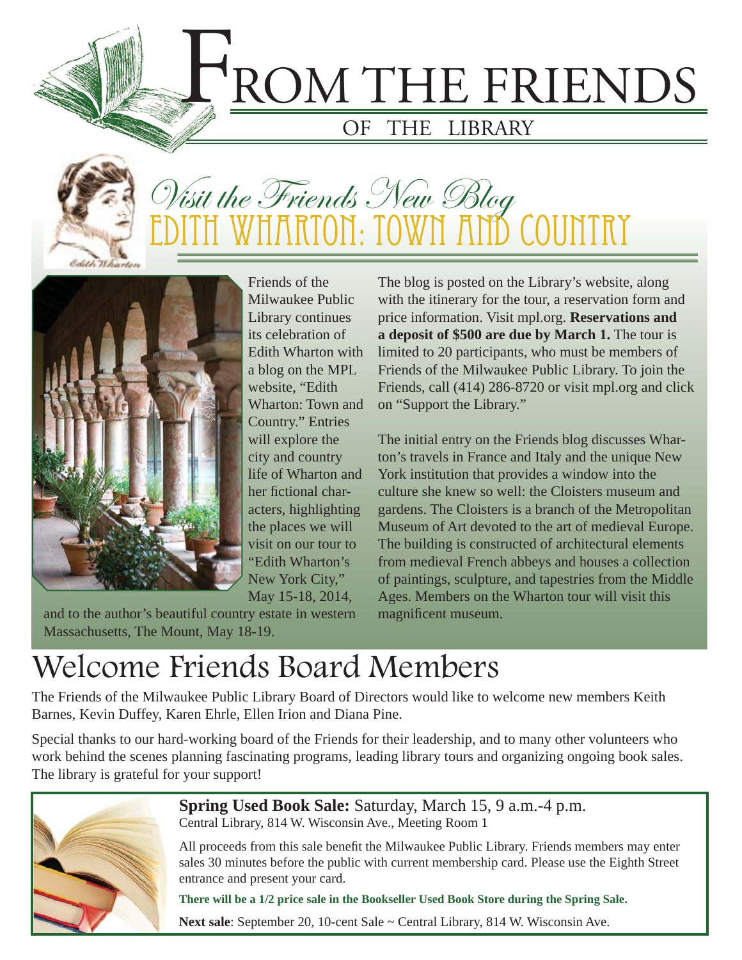



## Visit the Friends New Blog WHARTON: TOWN AND



Friends of the Milwaukee Public Library continues its celebration of Edith Wharton with a blog on the MPL website, "Edith Wharton: Town and Country." Entries will explore the city and country life of Wharton and her fictional characters, highlighting the places we will visit on our tour to "Edith Wharton's New York City," May 15-18, 2014,

and to the author's beautiful country estate in western Massachusetts, The Mount, May 18-19.

The blog is posted on the Library's website, along with the itinerary for the tour, a reservation form and price information. Visit mpl.org. **Reservations and a deposit of \$500 are due by March 1.** The tour is limited to 20 participants, who must be members of Friends of the Milwaukee Public Library. To join the Friends, call (414) 286-8720 or visit mpl.org and click on "Support the Library."

The initial entry on the Friends blog discusses Wharton's travels in France and Italy and the unique New York institution that provides a window into the culture she knew so well: the Cloisters museum and gardens. The Cloisters is a branch of the Metropolitan Museum of Art devoted to the art of medieval Europe. The building is constructed of architectural elements from medieval French abbeys and houses a collection of paintings, sculpture, and tapestries from the Middle Ages. Members on the Wharton tour will visit this magnificent museum.

## Welcome Friends Board Members

The Friends of the Milwaukee Public Library Board of Directors would like to welcome new members Keith Barnes, Kevin Duffey, Karen Ehrle, Ellen Irion and Diana Pine.

Special thanks to our hard-working board of the Friends for their leadership, and to many other volunteers who work behind the scenes planning fascinating programs, leading library tours and organizing ongoing book sales. The library is grateful for your support!



**Spring Used Book Sale:** Saturday, March 15, 9 a.m.-4 p.m. Central Library, 814 W. Wisconsin Ave., Meeting Room 1

All proceeds from this sale benefit the Milwaukee Public Library. Friends members may enter sales 30 minutes before the public with current membership card. Please use the Eighth Street entrance and present your card.

**There will be a 1/2 price sale in the Bookseller Used Book Store during the Spring Sale.**

Next sale: September 20, 10-cent Sale ~ Central Library, 814 W. Wisconsin Ave.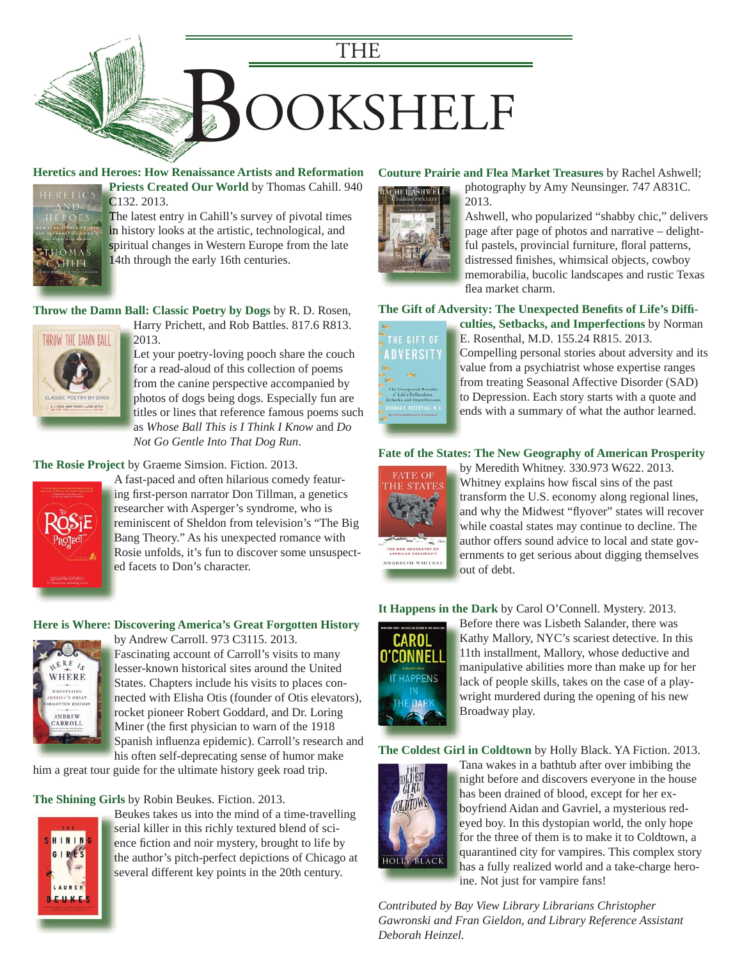

### **[Heretics and Heroes: How Renaissance Artists and Reformation](https://encore.mcfls.org/iii/encore/record/C__Rb3699782)**



**Priests Created Our World** by Thomas Cahill. 940 **Pr** C132. 2013. C The latest entry in Cahill's survey of pivotal times in history looks at the artistic, technological, and spiritual changes in Western Europe from the late

14th through the early 16th centuries. 14

**[Throw the Damn Ball: Classic Poetry by Dogs](https://encore.mcfls.org/iii/encore/record/C__Rb3700610)** by R. D. Rosen,



2013. 2

Harry Prichett, and Rob Battles. 817.6 R813. H

Let your poetry-loving pooch share the couch L for a read-aloud of this collection of poems f from the canine perspective accompanied by f photos of dogs being dogs. Especially fun are titles or lines that reference famous poems such t as *Whose Ball This is I Think I Know* and *Do*  a *Not Go Gentle Into That Dog Run*.

#### **The Rosie Project** by Graeme Simsion. Fiction. 2013.



A fast-paced and often hilarious comedy featur-A ing first-person narrator Don Tillman, a genetics researcher with Asperger's syndrome, who is reminiscent of Sheldon from television's "The Big Bang Theory." As his unexpected romance with B Rosie unfolds, it's fun to discover some unsuspect-R ed facets to Don's character.

#### **[Here is Where: Discovering America's Great Forgotten History](https://encore.mcfls.org/iii/encore/record/C__Rb3514417)**



by Andrew Carroll. 973 C3115. 2013. b Fascinating account of Carroll's visits to many F lesser-known historical sites around the United l States. Chapters include his visits to places con-S nected with Elisha Otis (founder of Otis elevators), n rocket pioneer Robert Goddard, and Dr. Loring Miner (the first physician to warn of the 1918) Spanish influenza epidemic). Carroll's research and his often self-deprecating sense of humor make h

him a great tour guide for the ultimate history geek road trip.

#### **The Shining Girls** by Robin Beukes. Fiction. 2013.



Beukes takes us into the mind of a time-travelling B serial killer in this richly textured blend of science fiction and noir mystery, brought to life by the author's pitch-perfect depictions of Chicago at several different key points in the 20th century. s

#### **Couture Prairie and Flea Market Treasures** by Rachel Ashwell;



photography by Amy Neunsinger. 747 A831C. p 2013. 2

[Ashwell, who popularized "shabby chic," delivers](https://encore.mcfls.org/iii/encore/record/C__Rb3696834)  A page after page of photos and narrative – delight-p ful pastels, provincial furniture, floral patterns, distressed finishes, whimsical objects, cowboy memorabilia, bucolic landscapes and rustic Texas m flea market charm.

#### The Gift of Adversity: The Unexpected Benefits of Life's Diffi-



**culties, Setbacks, and Imperfections** by Norman **c** E. Rosenthal, M.D. 155.24 R815. 2013. E [Compelling personal stories about adversity and its](https://encore.mcfls.org/iii/encore/record/C__Rb3699777)  C value from a psychiatrist whose expertise ranges from treating Seasonal Affective Disorder (SAD) f to Depression. Each story starts with a quote and ends with a summary of what the author learned.

#### **[Fate of the States: The New Geography of American Prosperity](https://encore.mcfls.org/iii/encore/record/C__Rb3676028)**



by Meredith Whitney. 330.973 W622. 2013. b Whitney explains how fiscal sins of the past transform the U.S. economy along regional lines, t and why the Midwest "flyover" states will recover while coastal states may continue to decline. The author offers sound advice to local and state gov-a ernments to get serious about digging themselves e out of debt.

**It Happens in the Dark** by Carol O'Connell. Mystery. 2013.



Before there was Lisbeth Salander, there was B Kathy Mallory, NYC's scariest detective. In this K 11th installment, Mallory, whose deductive and 1 [manipulative abilities more than make up for her](https://encore.mcfls.org/iii/encore/record/C__Rb3688826)  m lack of people skills, takes on the case of a play-l wright murdered during the opening of his new Broadway play. B

**The Coldest Girl in Coldtown** by Holly Black. YA Fiction. 2013.



Tana wakes in a bathtub after over imbibing the T night before and discovers everyone in the house n has been drained of blood, except for her ex-h boyfriend Aidan and Gavriel, a mysterious red-b eyed boy. In this dystopian world, the only hope e for the three of them is to make it to Coldtown, a f [quarantined city for vampires. This complex story](https://encore.mcfls.org/iii/encore/record/C__Rb3686742)  q has a fully realized world and a take-charge hero-h ine. Not just for vampire fans! i

*Contributed by Bay View Library Librarians Christopher Gawronski and Fran Gieldon, and Library Reference Assistant Deborah Heinzel.*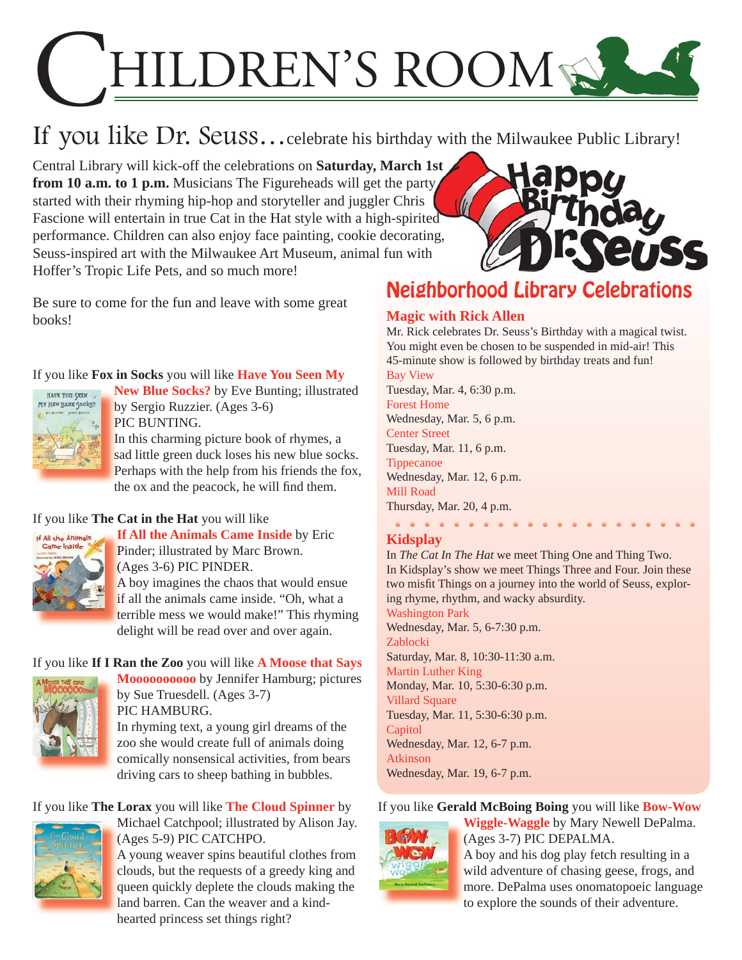# HILDREN'S ROOM

## If you like Dr. Seuss…celebrate his birthday with the Milwaukee Public Library!

Central Library will kick-off the celebrations on **Saturday, March 1st from 10 a.m. to 1 p.m.** Musicians The Figureheads will get the party started with their rhyming hip-hop and storyteller and juggler Chris Fascione will entertain in true Cat in the Hat style with a high-spirited performance. Children can also enjoy face painting, cookie decorating, Seuss-inspired art with the Milwaukee Art Museum, animal fun with Hoffer's Tropic Life Pets, and so much more!

Be sure to come for the fun and leave with some great books!

## If you like **Fox in Socks** you will like **Have You Seen My**



New Blue Socks? by Eve Bunting; illustrated by Sergio Ruzzier. (Ages 3-6) b PIC BUNTING. P In this charming picture book of rhymes, a I sad little green duck loses his new blue socks.

[Perhaps with the help from his friends the fox,](https://encore.mcfls.org/iii/encore/record/C__Rb3655082)  P the ox and the peacock, he will find them.

## If you like **The Cat in the Hat** you will like



**If All the Animals Came Inside** by Eric **I** Pinder; illustrated by Marc Brown. P (Ages 3-6) PIC PINDER. ( A boy imagines the chaos that would ensue A if all the animals came inside. "Oh, what a terrible mess we would make!" This rhyming delight will be read over and over again.

## If you like **If I Ran the Zoo** you will like **A Moose that Says**



**Moooooooooo** by Jennifer Hamburg; pictures by Sue Truesdell. (Ages 3-7) PIC HAMBURG. In rhyming text, a young girl dreams of the zoo she would create full of animals doing [comically nonsensical activities, from bears](https://encore.mcfls.org/iii/encore/record/C__Rb3705229)  driving cars to sheep bathing in bubbles.

## If you like **The Lorax** you will like **The Cloud Spinner** by



[Michael Catchpool; illustrated by Alison Jay.](https://encore.mcfls.org/iii/encore/record/C__Rb3567314)  (Ages 5-9) PIC CATCHPO.

A young weaver spins beautiful clothes from A clouds, but the requests of a greedy king and queen quickly deplete the clouds making the land barren. Can the weaver and a kindhearted princess set things right? h



## Neighborhood Library Celebrations

## **Magic with Rick Allen**

Mr. Rick celebrates Dr. Seuss's Birthday with a magical twist. You might even be chosen to be suspended in mid-air! This 45-minute show is followed by birthday treats and fun! Bay View Tuesday, Mar. 4, 6:30 p.m.

Forest Home Wednesday, Mar. 5, 6 p.m.

Center Street

Tuesday, Mar. 11, 6 p.m.

Tippecanoe Wednesday, Mar. 12, 6 p.m. Mill Road

Thursday, Mar. 20, 4 p.m.  $\begin{array}{cccccccccccccc} \bullet & \bullet & \bullet & \bullet & \bullet & \bullet & \bullet & \bullet & \bullet \end{array}$ 

## **Kidsplay**

In *The Cat In The Hat* we meet Thing One and Thing Two. In Kidsplay's show we meet Things Three and Four. Join these two misfit Things on a journey into the world of Seuss, exploring rhyme, rhythm, and wacky absurdity.

Washington Park

Wednesday, Mar. 5, 6-7:30 p.m. Zablocki Saturday, Mar. 8, 10:30-11:30 a.m. Martin Luther King Monday, Mar. 10, 5:30-6:30 p.m. Villard Square Tuesday, Mar. 11, 5:30-6:30 p.m. **Capitol** Wednesday, Mar. 12, 6-7 p.m. Atkinson Wednesday, Mar. 19, 6-7 p.m.

## If you like **Gerald McBoing Boing** you will like **Bow-Wow**



**Wiggle-Waggle** by Mary Newell DePalma. **W** (Ages 3-7) PIC DEPALMA. A boy and his dog play fetch resulting in a A wild adventure of chasing geese, frogs, and w [more. DePalma uses onomatopoeic language](https://encore.mcfls.org/iii/encore/record/C__Rb3607727)  m to explore the sounds of their adventure.